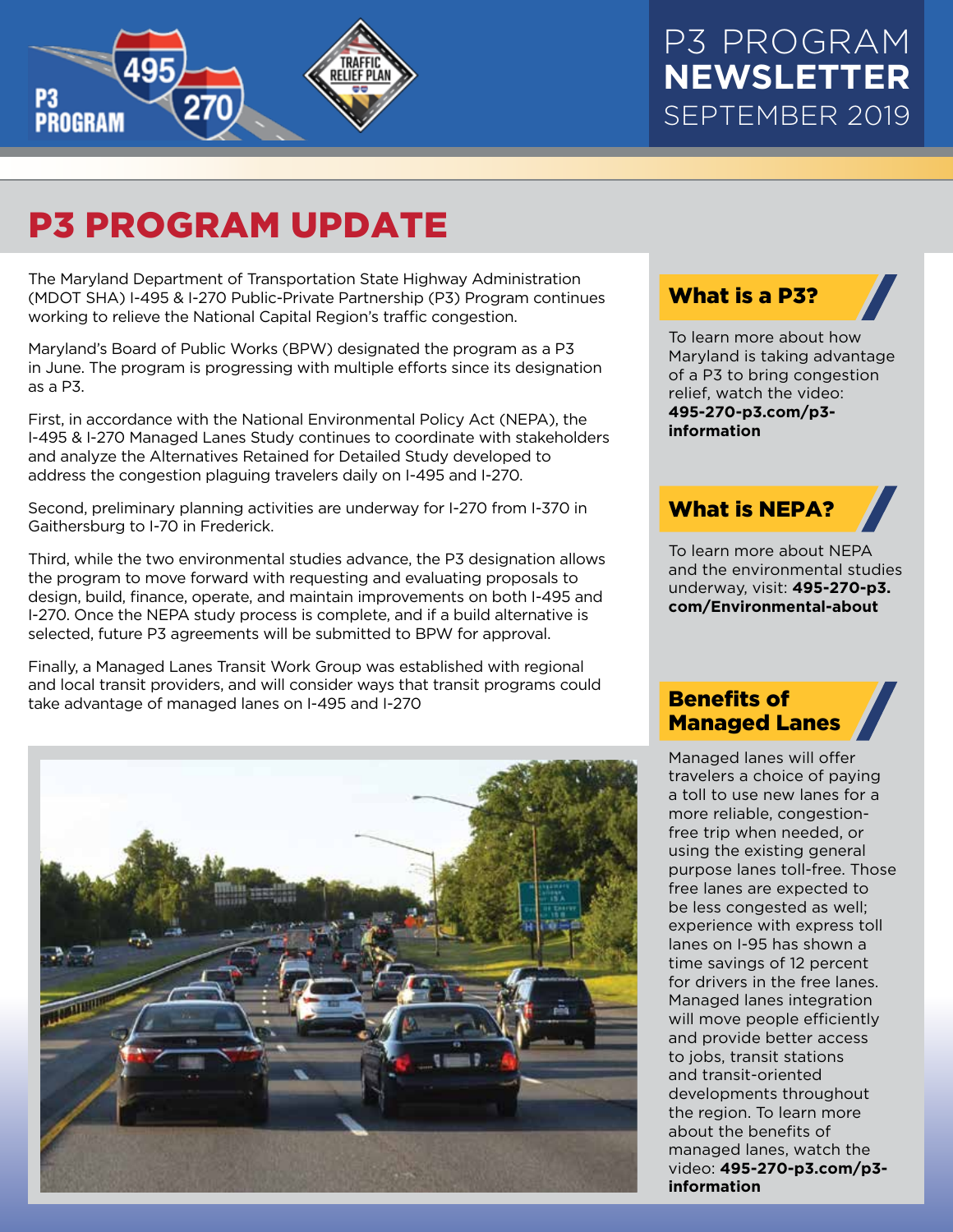

# P3 PROGRAM UPDATE

The Maryland Department of Transportation State Highway Administration (MDOT SHA) I-495 & I-270 Public-Private Partnership (P3) Program continues working to relieve the National Capital Region's traffic congestion.

Maryland's Board of Public Works (BPW) designated the program as a P3 in June. The program is progressing with multiple efforts since its designation as a P3.

First, in accordance with the National Environmental Policy Act (NEPA), the I-495 & I-270 Managed Lanes Study continues to coordinate with stakeholders and analyze the Alternatives Retained for Detailed Study developed to address the congestion plaguing travelers daily on I-495 and I-270.

Second, preliminary planning activities are underway for I-270 from I-370 in Gaithersburg to I-70 in Frederick.

Third, while the two environmental studies advance, the P3 designation allows the program to move forward with requesting and evaluating proposals to design, build, finance, operate, and maintain improvements on both I-495 and I-270. Once the NEPA study process is complete, and if a build alternative is selected, future P3 agreements will be submitted to BPW for approval.

Finally, a Managed Lanes Transit Work Group was established with regional and local transit providers, and will consider ways that transit programs could take advantage of managed lanes on I-495 and I-270



#### What is a P3?

To learn more about how Maryland is taking advantage of a P3 to bring congestion relief, watch the video: **[495-270-p3.com/p3](https://495-270-p3.com/p3-information/#benefitsvid) information**

### What is NEPA?

To learn more about NEPA and the environmental studies underway, visit: **495-270-p3. [com/Environmental-about](https://495-270-p3.com/environmental-about/)**

#### Benefits of Managed Lanes

Managed lanes will offer travelers a choice of paying a toll to use new lanes for a more reliable, congestionfree trip when needed, or using the existing general purpose lanes toll-free. Those free lanes are expected to be less congested as well; experience with express toll lanes on I-95 has shown a time savings of 12 percent for drivers in the free lanes. Managed lanes integration will move people efficiently and provide better access to jobs, transit stations and transit-oriented developments throughout the region. To learn more about the benefits of managed lanes, watch the video: **[495-270-p3.com/p3](https://495-270-p3.com/p3-information/#benefitsvid) information**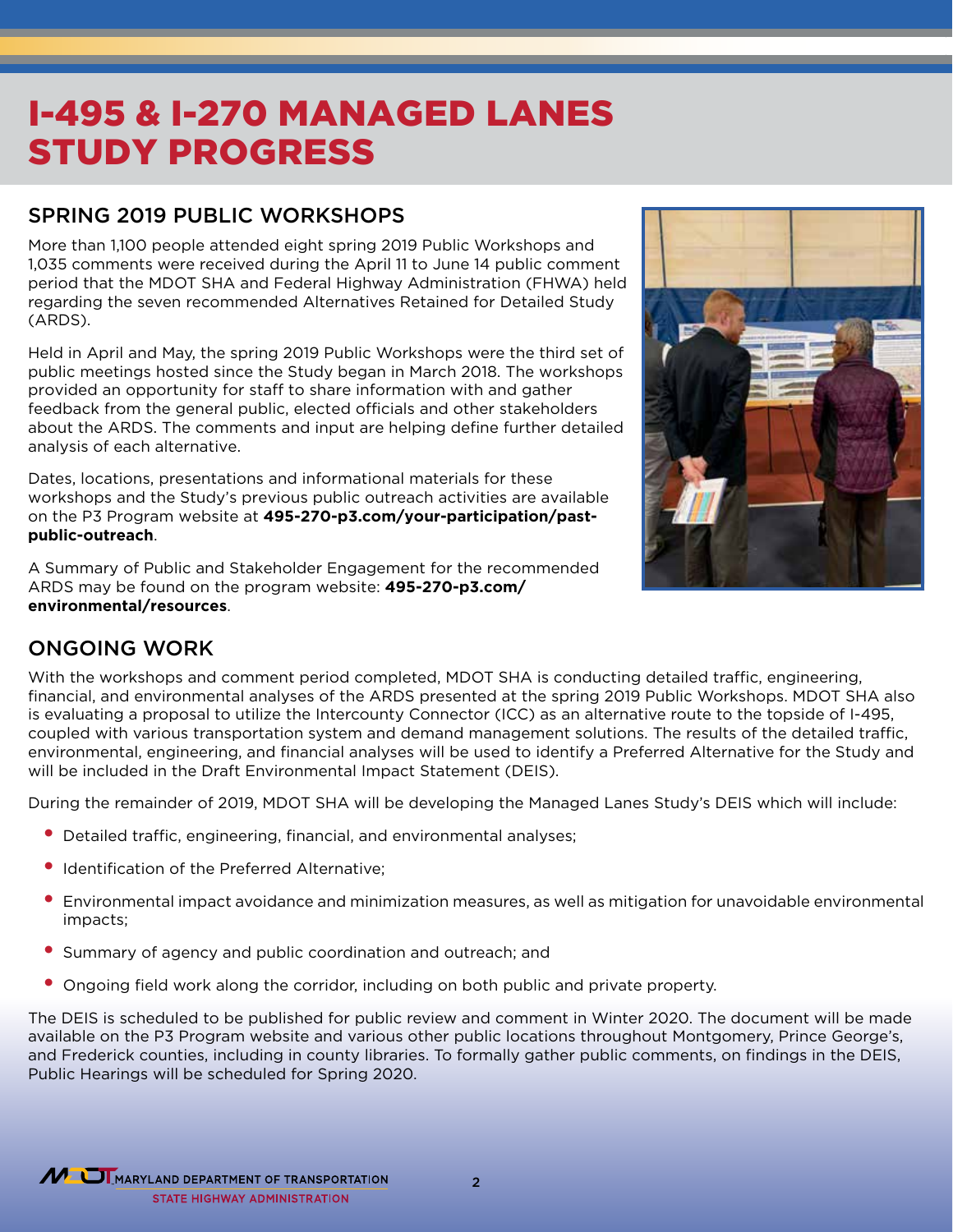### I-495 & I-270 MANAGED LANES STUDY PROGRESS

#### SPRING 2019 PUBLIC WORKSHOPS

More than 1,100 people attended eight spring 2019 Public Workshops and 1,035 comments were received during the April 11 to June 14 public comment period that the MDOT SHA and Federal Highway Administration (FHWA) held regarding the seven recommended Alternatives Retained for Detailed Study (ARDS).

Held in April and May, the spring 2019 Public Workshops were the third set of public meetings hosted since the Study began in March 2018. The workshops provided an opportunity for staff to share information with and gather feedback from the general public, elected officials and other stakeholders about the ARDS. The comments and input are helping define further detailed analysis of each alternative.

Dates, locations, presentations and informational materials for these workshops and the Study's previous public outreach activities are available on the P3 Program website at **[495-270-p3.com/your-participation/past](https://495-270-p3.com/your-participation/past-public-outreach/)public-outreach**.

A Summary of Public and Stakeholder Engagement for the recommended [ARDS may be found on the program website:](https://495-270-p3.com/environmental/resources/) **495-270-p3.com/ environmental/resources**.



#### ONGOING WORK

With the workshops and comment period completed, MDOT SHA is conducting detailed traffic, engineering, financial, and environmental analyses of the ARDS presented at the spring 2019 Public Workshops. MDOT SHA also is evaluating a proposal to utilize the Intercounty Connector (ICC) as an alternative route to the topside of I-495, coupled with various transportation system and demand management solutions. The results of the detailed traffic, environmental, engineering, and financial analyses will be used to identify a Preferred Alternative for the Study and will be included in the Draft Environmental Impact Statement (DEIS).

During the remainder of 2019, MDOT SHA will be developing the Managed Lanes Study's DEIS which will include:

- Detailed traffic, engineering, financial, and environmental analyses;
- Identification of the Preferred Alternative:
- Environmental impact avoidance and minimization measures, as well as mitigation for unavoidable environmental impacts;
- Summary of agency and public coordination and outreach; and
- Ongoing field work along the corridor, including on both public and private property.

The DEIS is scheduled to be published for public review and comment in Winter 2020. The document will be made available on the P3 Program website and various other public locations throughout Montgomery, Prince George's, and Frederick counties, including in county libraries. To formally gather public comments, on findings in the DEIS, Public Hearings will be scheduled for Spring 2020.



2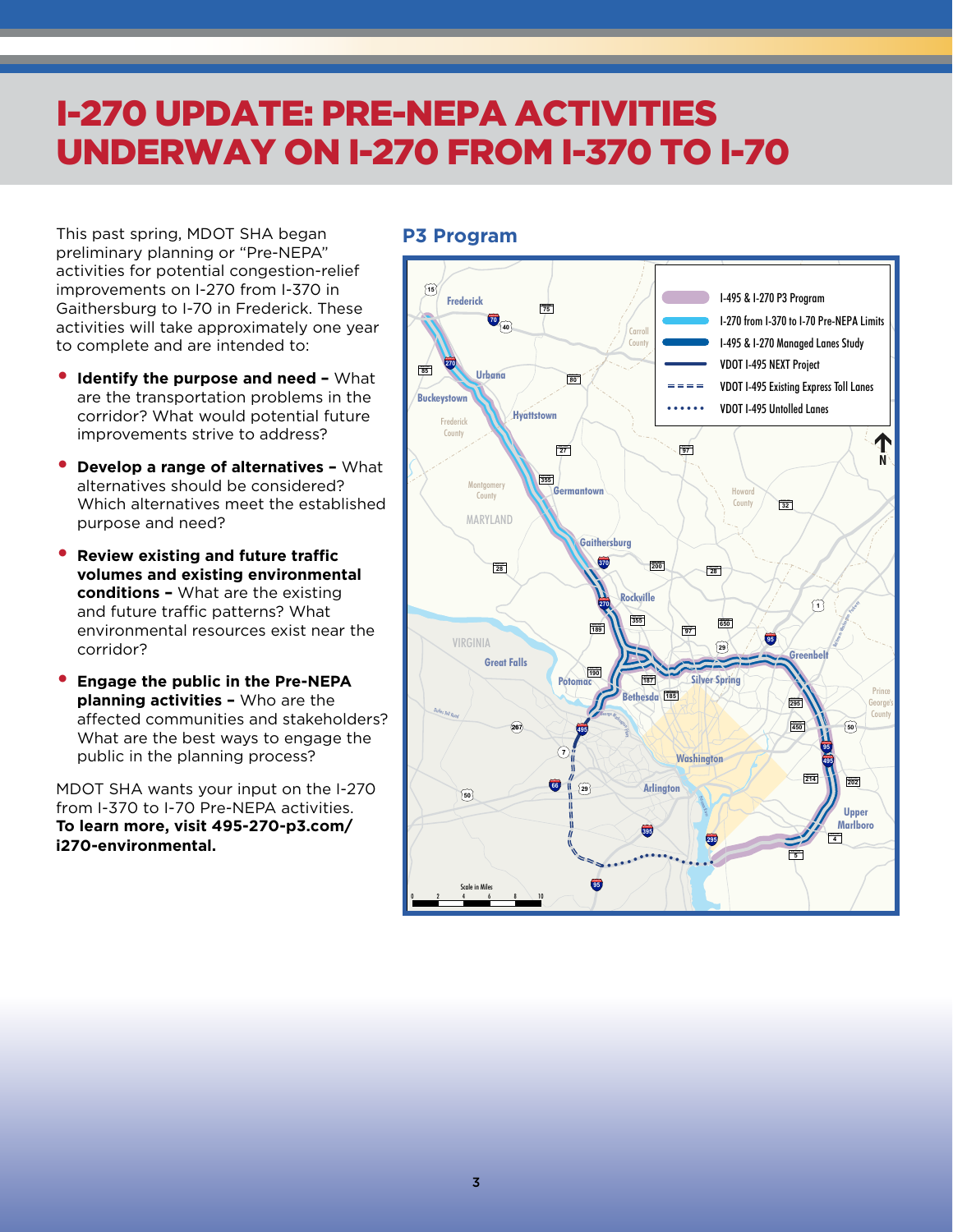### I-270 UPDATE: PRE-NEPA ACTIVITIES UNDERWAY ON I-270 FROM I-370 TO I-70

This past spring, MDOT SHA began preliminary planning or "Pre-NEPA" activities for potential congestion-relief improvements on I-270 from I-370 in Gaithersburg to I-70 in Frederick. These activities will take approximately one year to complete and are intended to:

- **Identify the purpose and need –** What are the transportation problems in the corridor? What would potential future improvements strive to address?
- **Develop a range of alternatives** What alternatives should be considered? Which alternatives meet the established purpose and need?
- **Review existing and future traffic volumes and existing environmental conditions –** What are the existing and future traffic patterns? What environmental resources exist near the corridor?
- **Engage the public in the Pre-NEPA planning activities –** Who are the affected communities and stakeholders? What are the best ways to engage the public in the planning process?

MDOT SHA wants your input on the I-270 from I-370 to I-70 Pre-NEPA activities. **[To learn more, visit 495-270-p3.com/](https://495-270-p3.com/i270-environmental/) i270-environmental.**

#### **P3 Program**

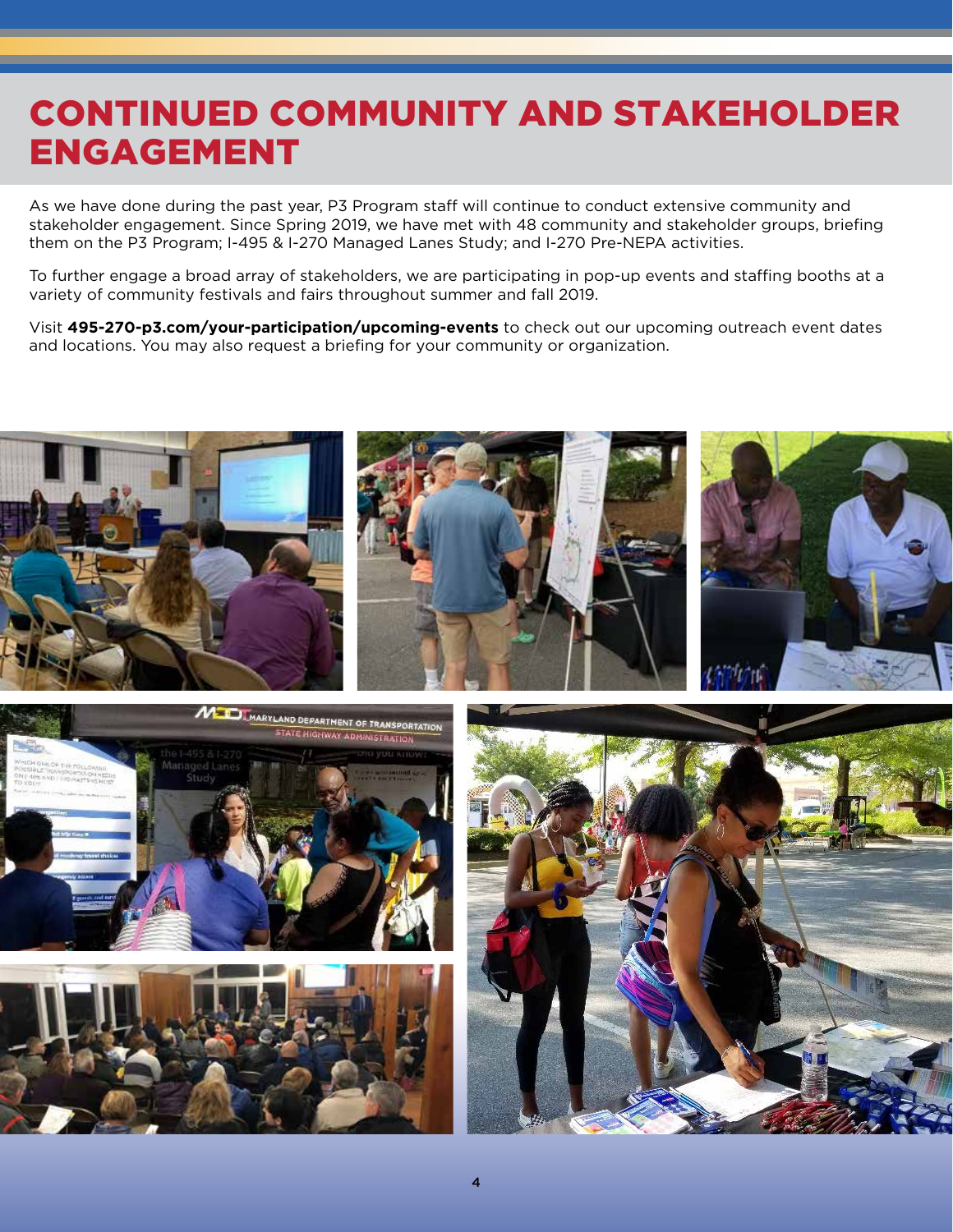## CONTINUED COMMUNITY AND STAKEHOLDER ENGAGEMENT

As we have done during the past year, P3 Program staff will continue to conduct extensive community and stakeholder engagement. Since Spring 2019, we have met with 48 community and stakeholder groups, briefing them on the P3 Program; I-495 & I-270 Managed Lanes Study; and I-270 Pre-NEPA activities.

To further engage a broad array of stakeholders, we are participating in pop-up events and staffing booths at a variety of community festivals and fairs throughout summer and fall 2019.

Visit **[495-270-p3.com/your-participation/upcoming-events](https://495-270-p3.com/your-participation/upcoming-events/)** to check out our upcoming outreach event dates and locations. You may also request a briefing for your community or organization.







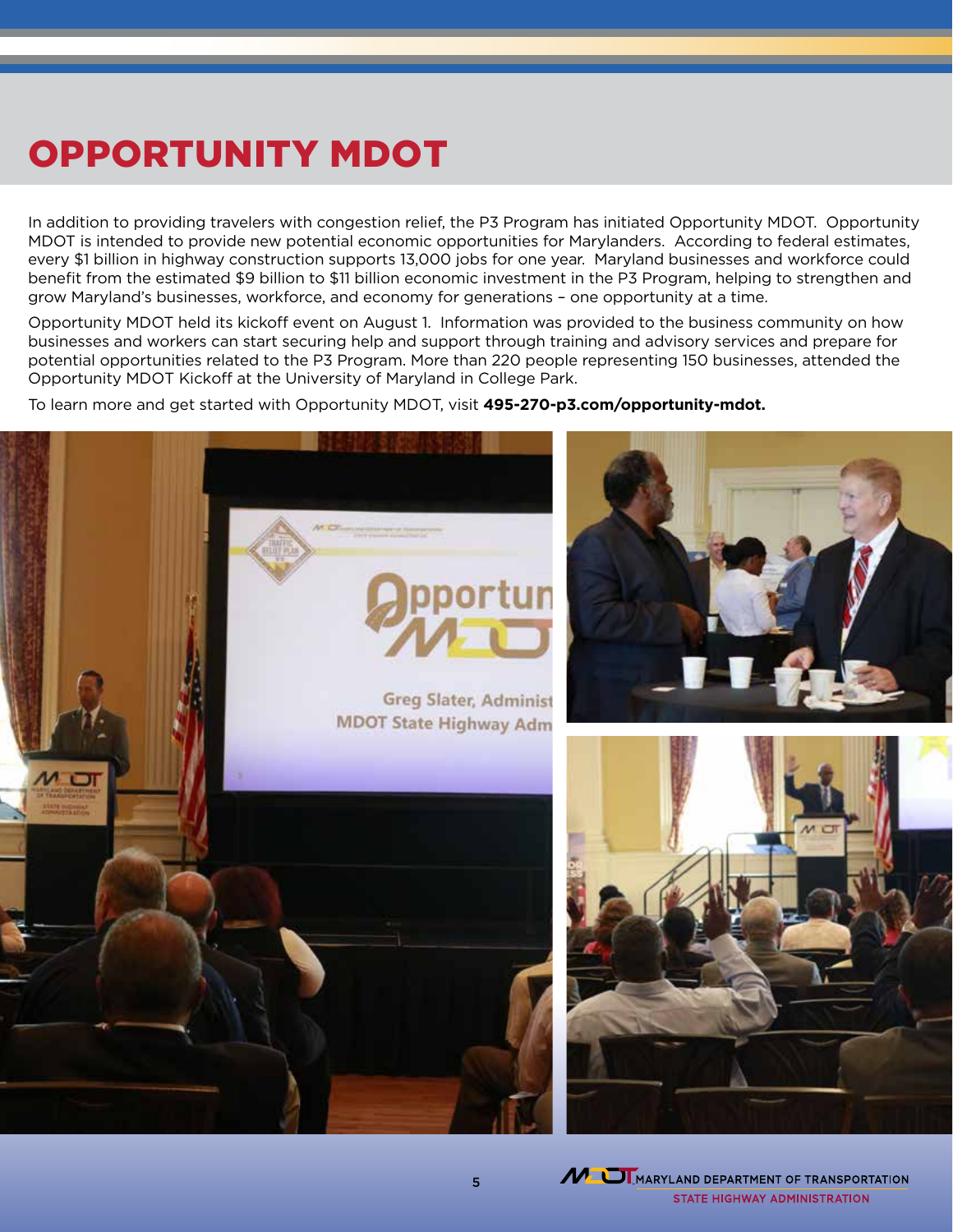# OPPORTUNITY MDOT

In addition to providing travelers with congestion relief, the P3 Program has initiated Opportunity MDOT. Opportunity MDOT is intended to provide new potential economic opportunities for Marylanders. According to federal estimates, every \$1 billion in highway construction supports 13,000 jobs for one year. Maryland businesses and workforce could benefit from the estimated \$9 billion to \$11 billion economic investment in the P3 Program, helping to strengthen and grow Maryland's businesses, workforce, and economy for generations – one opportunity at a time.

Opportunity MDOT held its kickoff event on August 1. Information was provided to the business community on how businesses and workers can start securing help and support through training and advisory services and prepare for potential opportunities related to the P3 Program. More than 220 people representing 150 businesses, attended the Opportunity MDOT Kickoff at the University of Maryland in College Park.

To learn more and get started with Opportunity MDOT, visit **[495-270-p3.com/opportunity-mdot](https://495-270-p3.com/opportunity-mdot/).**